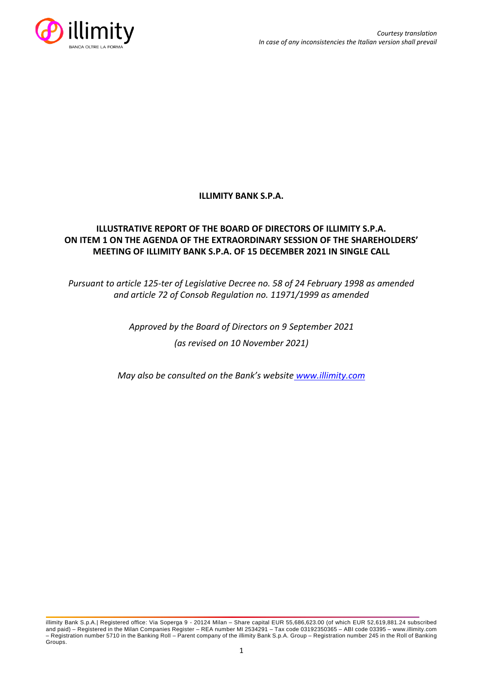

## **ILLIMITY BANK S.P.A.**

## **ILLUSTRATIVE REPORT OF THE BOARD OF DIRECTORS OF ILLIMITY S.P.A. ON ITEM 1 ON THE AGENDA OF THE EXTRAORDINARY SESSION OF THE SHAREHOLDERS' MEETING OF ILLIMITY BANK S.P.A. OF 15 DECEMBER 2021 IN SINGLE CALL**

## *Pursuant to article 125-ter of Legislative Decree no. 58 of 24 February 1998 as amended and article 72 of Consob Regulation no. 11971/1999 as amended*

# *Approved by the Board of Directors on 9 September 2021 (as revised on 10 November 2021)*

*May also be consulted on the Bank's website [www.illimity.com](http://www.illimity.com/)*

illimity Bank S.p.A.| Registered office: Via Soperga 9 - 20124 Milan – Share capital EUR 55,686,623.00 (of which EUR 52,619,881.24 subscribed and paid) – Registered in the Milan Companies Register – REA number MI 2534291 – Tax code 03192350365 – ABI code 03395 – [www.illimity.com](http://www.illimity.com/) – Registration number 5710 in the Banking Roll – Parent company of the illimity Bank S.p.A. Group – Registration number 245 in the Roll of Banking Groups.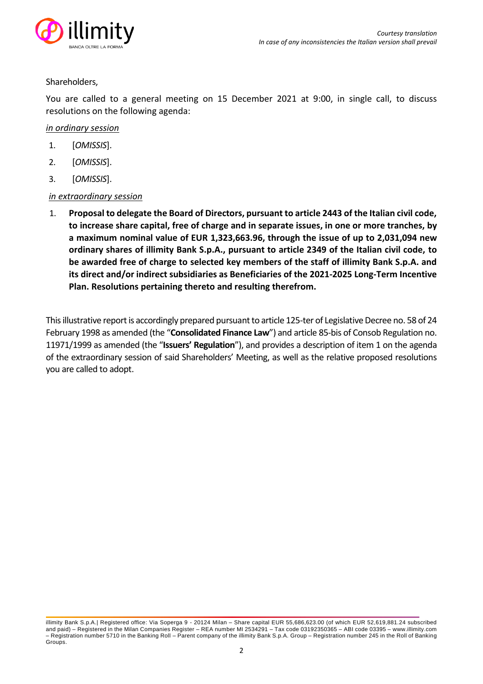

### Shareholders,

You are called to a general meeting on 15 December 2021 at 9:00, in single call, to discuss resolutions on the following agenda:

### *in ordinary session*

- 1. [*OMISSIS*].
- 2. [*OMISSIS*].
- 3. [*OMISSIS*].

## *in extraordinary session*

1. **Proposal to delegate the Board of Directors, pursuant to article 2443 of the Italian civil code, to increase share capital, free of charge and in separate issues, in one or more tranches, by a maximum nominal value of EUR 1,323,663.96, through the issue of up to 2,031,094 new ordinary shares of illimity Bank S.p.A., pursuant to article 2349 of the Italian civil code, to be awarded free of charge to selected key members of the staff of illimity Bank S.p.A. and its direct and/or indirect subsidiaries as Beneficiaries of the 2021-2025 Long-Term Incentive Plan. Resolutions pertaining thereto and resulting therefrom.**

This illustrative report is accordingly prepared pursuant to article 125-ter of Legislative Decree no. 58 of 24 February 1998 as amended (the "**Consolidated Finance Law**") and article 85-bis of Consob Regulation no. 11971/1999 as amended (the "**Issuers' Regulation**"), and provides a description of item 1 on the agenda of the extraordinary session of said Shareholders' Meeting, as well as the relative proposed resolutions you are called to adopt.

illimity Bank S.p.A.| Registered office: Via Soperga 9 - 20124 Milan – Share capital EUR 55,686,623.00 (of which EUR 52,619,881.24 subscribed and paid) – Registered in the Milan Companies Register – REA number MI 2534291 – Tax code 03192350365 – ABI code 03395 – [www.illimity.com](http://www.illimity.com/) – Registration number 5710 in the Banking Roll – Parent company of the illimity Bank S.p.A. Group – Registration number 245 in the Roll of Banking Groups.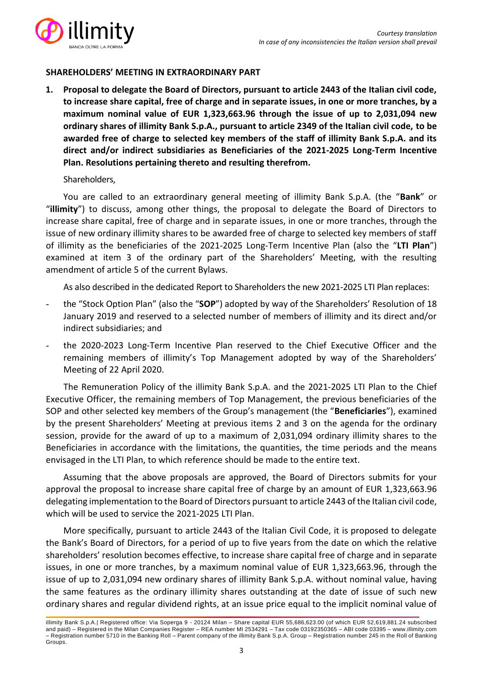

## **SHAREHOLDERS' MEETING IN EXTRAORDINARY PART**

**1. Proposal to delegate the Board of Directors, pursuant to article 2443 of the Italian civil code, to increase share capital, free of charge and in separate issues, in one or more tranches, by a maximum nominal value of EUR 1,323,663.96 through the issue of up to 2,031,094 new ordinary shares of illimity Bank S.p.A., pursuant to article 2349 of the Italian civil code, to be awarded free of charge to selected key members of the staff of illimity Bank S.p.A. and its direct and/or indirect subsidiaries as Beneficiaries of the 2021-2025 Long-Term Incentive Plan. Resolutions pertaining thereto and resulting therefrom.**

### Shareholders,

You are called to an extraordinary general meeting of illimity Bank S.p.A. (the "**Bank**" or "**illimity**") to discuss, among other things, the proposal to delegate the Board of Directors to increase share capital, free of charge and in separate issues, in one or more tranches, through the issue of new ordinary illimity shares to be awarded free of charge to selected key members of staff of illimity as the beneficiaries of the 2021-2025 Long-Term Incentive Plan (also the "**LTI Plan**") examined at item 3 of the ordinary part of the Shareholders' Meeting, with the resulting amendment of article 5 of the current Bylaws.

As also described in the dedicated Report to Shareholders the new 2021-2025 LTI Plan replaces:

- the "Stock Option Plan" (also the "**SOP**") adopted by way of the Shareholders' Resolution of 18 January 2019 and reserved to a selected number of members of illimity and its direct and/or indirect subsidiaries; and
- the 2020-2023 Long-Term Incentive Plan reserved to the Chief Executive Officer and the remaining members of illimity's Top Management adopted by way of the Shareholders' Meeting of 22 April 2020.

The Remuneration Policy of the illimity Bank S.p.A. and the 2021-2025 LTI Plan to the Chief Executive Officer, the remaining members of Top Management, the previous beneficiaries of the SOP and other selected key members of the Group's management (the "**Beneficiaries**"), examined by the present Shareholders' Meeting at previous items 2 and 3 on the agenda for the ordinary session, provide for the award of up to a maximum of 2,031,094 ordinary illimity shares to the Beneficiaries in accordance with the limitations, the quantities, the time periods and the means envisaged in the LTI Plan, to which reference should be made to the entire text.

Assuming that the above proposals are approved, the Board of Directors submits for your approval the proposal to increase share capital free of charge by an amount of EUR 1,323,663.96 delegating implementation to the Board of Directors pursuant to article 2443 of the Italian civil code, which will be used to service the 2021-2025 LTI Plan.

More specifically, pursuant to article 2443 of the Italian Civil Code, it is proposed to delegate the Bank's Board of Directors, for a period of up to five years from the date on which the relative shareholders' resolution becomes effective, to increase share capital free of charge and in separate issues, in one or more tranches, by a maximum nominal value of EUR 1,323,663.96, through the issue of up to 2,031,094 new ordinary shares of illimity Bank S.p.A. without nominal value, having the same features as the ordinary illimity shares outstanding at the date of issue of such new ordinary shares and regular dividend rights, at an issue price equal to the implicit nominal value of

illimity Bank S.p.A.| Registered office: Via Soperga 9 - 20124 Milan – Share capital EUR 55,686,623.00 (of which EUR 52,619,881.24 subscribed and paid) – Registered in the Milan Companies Register – REA number MI 2534291 – Tax code 03192350365 – ABI code 03395 – [www.illimity.com](http://www.illimity.com/) – Registration number 5710 in the Banking Roll – Parent company of the illimity Bank S.p.A. Group – Registration number 245 in the Roll of Banking Groups.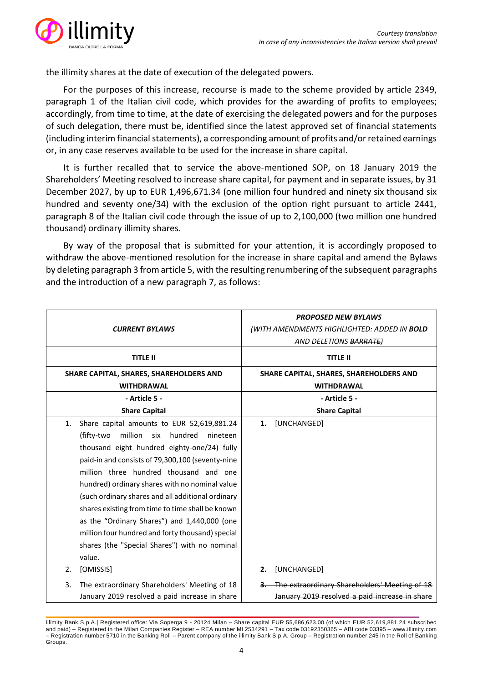

the illimity shares at the date of execution of the delegated powers.

For the purposes of this increase, recourse is made to the scheme provided by article 2349, paragraph 1 of the Italian civil code, which provides for the awarding of profits to employees; accordingly, from time to time, at the date of exercising the delegated powers and for the purposes of such delegation, there must be, identified since the latest approved set of financial statements (including interim financial statements), a corresponding amount of profits and/or retained earnings or, in any case reserves available to be used for the increase in share capital.

It is further recalled that to service the above-mentioned SOP, on 18 January 2019 the Shareholders' Meeting resolved to increase share capital, for payment and in separate issues, by 31 December 2027, by up to EUR 1,496,671.34 (one million four hundred and ninety six thousand six hundred and seventy one/34) with the exclusion of the option right pursuant to article 2441, paragraph 8 of the Italian civil code through the issue of up to 2,100,000 (two million one hundred thousand) ordinary illimity shares.

By way of the proposal that is submitted for your attention, it is accordingly proposed to withdraw the above-mentioned resolution for the increase in share capital and amend the Bylaws by deleting paragraph 3 from article 5, with the resulting renumbering of the subsequent paragraphs and the introduction of a new paragraph 7, as follows:

| <b>CURRENT BYLAWS</b>                                                                                                                                                                                                                                                                                                                                                                                                                                                                                                                                                          | <b>PROPOSED NEW BYLAWS</b><br>(WITH AMENDMENTS HIGHLIGHTED: ADDED IN <b>BOLD</b><br>AND DELETIONS BARRATE) |
|--------------------------------------------------------------------------------------------------------------------------------------------------------------------------------------------------------------------------------------------------------------------------------------------------------------------------------------------------------------------------------------------------------------------------------------------------------------------------------------------------------------------------------------------------------------------------------|------------------------------------------------------------------------------------------------------------|
| <b>TITLE II</b>                                                                                                                                                                                                                                                                                                                                                                                                                                                                                                                                                                | <b>TITLE II</b>                                                                                            |
| SHARE CAPITAL, SHARES, SHAREHOLDERS AND<br><b>WITHDRAWAL</b>                                                                                                                                                                                                                                                                                                                                                                                                                                                                                                                   | SHARE CAPITAL, SHARES, SHAREHOLDERS AND<br><b>WITHDRAWAL</b>                                               |
| - Article 5 -                                                                                                                                                                                                                                                                                                                                                                                                                                                                                                                                                                  | - Article 5 -                                                                                              |
| <b>Share Capital</b>                                                                                                                                                                                                                                                                                                                                                                                                                                                                                                                                                           | <b>Share Capital</b>                                                                                       |
| 1.<br>Share capital amounts to EUR 52,619,881.24<br>million<br>(fifty-two<br>hundred<br>six<br>nineteen<br>thousand eight hundred eighty-one/24) fully<br>paid-in and consists of 79,300,100 (seventy-nine<br>million three hundred thousand and one<br>hundred) ordinary shares with no nominal value<br>(such ordinary shares and all additional ordinary<br>shares existing from time to time shall be known<br>as the "Ordinary Shares") and 1,440,000 (one<br>million four hundred and forty thousand) special<br>shares (the "Special Shares") with no nominal<br>value. | 1.<br>[UNCHANGED]                                                                                          |
| [OMISSIS]<br>2.                                                                                                                                                                                                                                                                                                                                                                                                                                                                                                                                                                | 2.<br>[UNCHANGED]                                                                                          |
| The extraordinary Shareholders' Meeting of 18<br>3.<br>January 2019 resolved a paid increase in share                                                                                                                                                                                                                                                                                                                                                                                                                                                                          | The extraordinary Shareholders' Meeting of 18<br>January 2019 resolved a paid increase in share            |

illimity Bank S.p.A.| Registered office: Via Soperga 9 - 20124 Milan – Share capital EUR 55,686,623.00 (of which EUR 52,619,881.24 subscribed and paid) – Registered in the Milan Companies Register – REA number MI 2534291 – Tax code 03192350365 – ABI code 03395 – [www.illimity.com](http://www.illimity.com/) – Registration number 5710 in the Banking Roll – Parent company of the illimity Bank S.p.A. Group – Registration number 245 in the Roll of Banking Groups.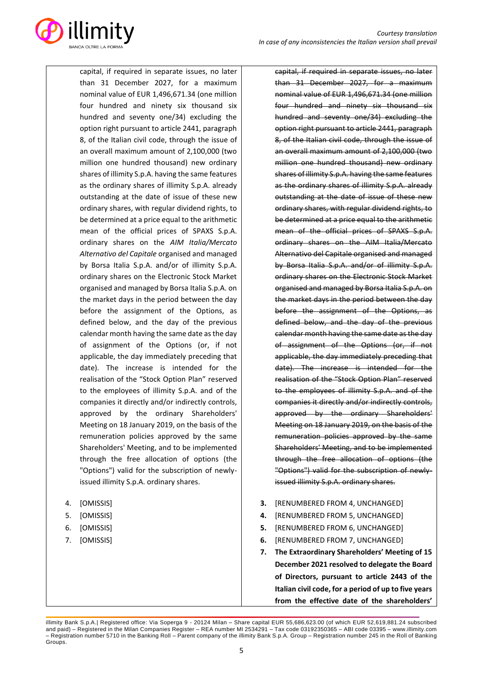

capital, if required in separate issues, no later than 31 December 2027, for a maximum nominal value of EUR 1,496,671.34 (one million four hundred and ninety six thousand six hundred and seventy one/34) excluding the option right pursuant to article 2441, paragraph 8, of the Italian civil code, through the issue of an overall maximum amount of 2,100,000 (two million one hundred thousand) new ordinary shares of illimity S.p.A. having the same features as the ordinary shares of illimity S.p.A. already outstanding at the date of issue of these new ordinary shares, with regular dividend rights, to be determined at a price equal to the arithmetic mean of the official prices of SPAXS S.p.A. ordinary shares on the *AIM Italia/Mercato Alternativo del Capitale* organised and managed by Borsa Italia S.p.A. and/or of illimity S.p.A. ordinary shares on the Electronic Stock Market organised and managed by Borsa Italia S.p.A. on the market days in the period between the day before the assignment of the Options, as defined below, and the day of the previous calendar month having the same date as the day of assignment of the Options (or, if not applicable, the day immediately preceding that date). The increase is intended for the realisation of the "Stock Option Plan" reserved to the employees of illimity S.p.A. and of the companies it directly and/or indirectly controls, approved by the ordinary Shareholders' Meeting on 18 January 2019, on the basis of the remuneration policies approved by the same Shareholders' Meeting, and to be implemented through the free allocation of options (the "Options") valid for the subscription of newlyissued illimity S.p.A. ordinary shares.

- 4. [OMISSIS]
- 5. [OMISSIS]
- 6. [OMISSIS]
- 7. [OMISSIS]

capital, if required in separate issues, no later than 31 December 2027, for a maximum nominal value of EUR 1,496,671.34 (one million four hundred and ninety six thousand six hundred and seventy one/34) excluding the option right pursuant to article 2441, paragraph 8, of the Italian civil code, through the issue of an overall maximum amount of 2,100,000 (two million one hundred thousand) new ordinary shares of illimity S.p.A. having the same features as the ordinary shares of illimity S.p.A. already outstanding at the date of issue of these new ordinary shares, with regular dividend rights, to be determined at a price equal to the arithmetic mean of the official prices of SPAXS S.p.A. ordinary shares on the AIM Italia/Mercato Alternativo del Capitale organised and managed by Borsa Italia S.p.A. and/or of illimity S.p.A. ordinary shares on the Electronic Stock Market organised and managed by Borsa Italia S.p.A. on the market days in the period between the day before the assignment of the Options, as defined below, and the day of the previous calendar month having the same date as the day of assignment of the Options (or, if not applicable, the day immediately preceding that date). The increase is intended for the realisation of the "Stock Option Plan" reserved to the employees of illimity S.p.A. and of the companies it directly and/or indirectly controls, approved by the ordinary Shareholders' Meeting on 18 January 2019, on the basis of the remuneration policies approved by the same Shareholders' Meeting, and to be implemented through the free allocation of options (the "Options") valid for the subscription of newlyissued illimity S.p.A. ordinary shares.

- **3.** [RENUMBERED FROM 4, UNCHANGED]
- **4.** [RENUMBERED FROM 5, UNCHANGED]
- **5.** [RENUMBERED FROM 6, UNCHANGED]
- **6.** [RENUMBERED FROM 7, UNCHANGED]
- **7. The Extraordinary Shareholders' Meeting of 15 December 2021 resolved to delegate the Board of Directors, pursuant to article 2443 of the Italian civil code, for a period of up to five years from the effective date of the shareholders'**

illimity Bank S.p.A.| Registered office: Via Soperga 9 - 20124 Milan – Share capital EUR 55,686,623.00 (of which EUR 52,619,881.24 subscribed and paid) – Registered in the Milan Companies Register – REA number MI 2534291 – Tax code 03192350365 – ABI code 03395 – [www.illimity.com](http://www.illimity.com/) – Registration number 5710 in the Banking Roll – Parent company of the illimity Bank S.p.A. Group – Registration number 245 in the Roll of Banking Groups.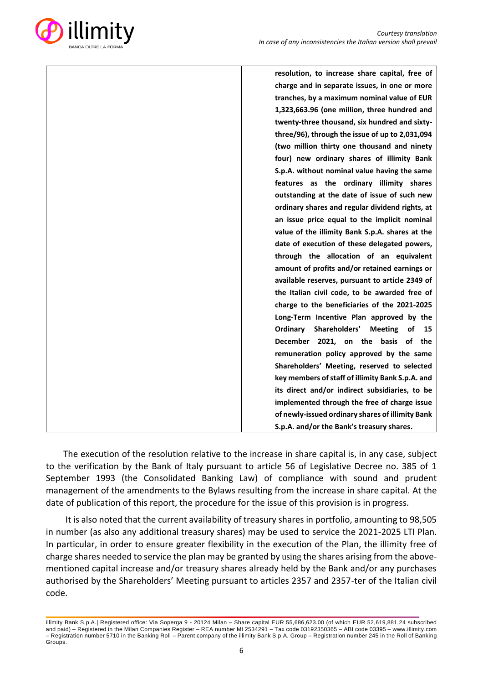

| resolution, to increase share capital, free of          |
|---------------------------------------------------------|
| charge and in separate issues, in one or more           |
| tranches, by a maximum nominal value of EUR             |
| 1,323,663.96 (one million, three hundred and            |
| twenty-three thousand, six hundred and sixty-           |
| three/96), through the issue of up to 2,031,094         |
| (two million thirty one thousand and ninety             |
| four) new ordinary shares of illimity Bank              |
| S.p.A. without nominal value having the same            |
| features as the ordinary illimity shares                |
| outstanding at the date of issue of such new            |
| ordinary shares and regular dividend rights, at         |
| an issue price equal to the implicit nominal            |
| value of the illimity Bank S.p.A. shares at the         |
| date of execution of these delegated powers,            |
| through the allocation of an equivalent                 |
| amount of profits and/or retained earnings or           |
| available reserves, pursuant to article 2349 of         |
| the Italian civil code, to be awarded free of           |
| charge to the beneficiaries of the 2021-2025            |
| Long-Term Incentive Plan approved by the                |
| Shareholders'<br>Ordinary<br><b>Meeting</b><br>οf<br>15 |
| December 2021, on the basis<br>of the                   |
| remuneration policy approved by the same                |
| Shareholders' Meeting, reserved to selected             |
| key members of staff of illimity Bank S.p.A. and        |
| its direct and/or indirect subsidiaries, to be          |
| implemented through the free of charge issue            |
| of newly-issued ordinary shares of illimity Bank        |
| S.p.A. and/or the Bank's treasury shares.               |

The execution of the resolution relative to the increase in share capital is, in any case, subject to the verification by the Bank of Italy pursuant to article 56 of Legislative Decree no. 385 of 1 September 1993 (the Consolidated Banking Law) of compliance with sound and prudent management of the amendments to the Bylaws resulting from the increase in share capital. At the date of publication of this report, the procedure for the issue of this provision is in progress.

It is also noted that the current availability of treasury shares in portfolio, amounting to 98,505 in number (as also any additional treasury shares) may be used to service the 2021-2025 LTI Plan. In particular, in order to ensure greater flexibility in the execution of the Plan, the illimity free of charge shares needed to service the plan may be granted by using the shares arising from the abovementioned capital increase and/or treasury shares already held by the Bank and/or any purchases authorised by the Shareholders' Meeting pursuant to articles 2357 and 2357-ter of the Italian civil code.

illimity Bank S.p.A.| Registered office: Via Soperga 9 - 20124 Milan – Share capital EUR 55,686,623.00 (of which EUR 52,619,881.24 subscribed and paid) – Registered in the Milan Companies Register – REA number MI 2534291 – Tax code 03192350365 – ABI code 03395 – [www.illimity.com](http://www.illimity.com/) – Registration number 5710 in the Banking Roll – Parent company of the illimity Bank S.p.A. Group – Registration number 245 in the Roll of Banking Groups.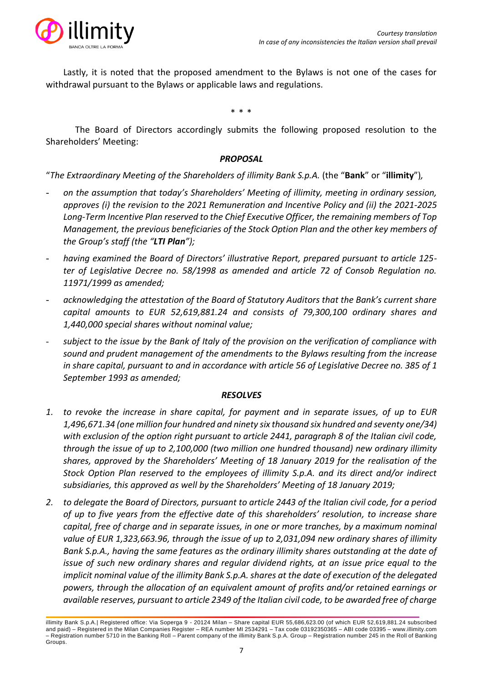

Lastly, it is noted that the proposed amendment to the Bylaws is not one of the cases for withdrawal pursuant to the Bylaws or applicable laws and regulations.

\* \* \*

The Board of Directors accordingly submits the following proposed resolution to the Shareholders' Meeting:

### *PROPOSAL*

"*The Extraordinary Meeting of the Shareholders of illimity Bank S.p.A.* (the "**Bank**" or "**illimity**")*,*

- *on the assumption that today's Shareholders' Meeting of illimity, meeting in ordinary session, approves (i) the revision to the 2021 Remuneration and Incentive Policy and (ii) the 2021-2025 Long-Term Incentive Plan reserved to the Chief Executive Officer, the remaining members of Top Management, the previous beneficiaries of the Stock Option Plan and the other key members of the Group's staff (the "LTI Plan");*
- *having examined the Board of Directors' illustrative Report, prepared pursuant to article 125 ter of Legislative Decree no. 58/1998 as amended and article 72 of Consob Regulation no. 11971/1999 as amended;*
- *acknowledging the attestation of the Board of Statutory Auditors that the Bank's current share capital amounts to EUR 52,619,881.24 and consists of 79,300,100 ordinary shares and 1,440,000 special shares without nominal value;*
- subject to the issue by the Bank of Italy of the provision on the verification of compliance with *sound and prudent management of the amendments to the Bylaws resulting from the increase in share capital, pursuant to and in accordance with article 56 of Legislative Decree no. 385 of 1 September 1993 as amended;*

#### *RESOLVES*

- *1. to revoke the increase in share capital, for payment and in separate issues, of up to EUR 1,496,671.34 (one million four hundred and ninety six thousand six hundred and seventy one/34) with exclusion of the option right pursuant to article 2441, paragraph 8 of the Italian civil code, through the issue of up to 2,100,000 (two million one hundred thousand) new ordinary illimity shares, approved by the Shareholders' Meeting of 18 January 2019 for the realisation of the Stock Option Plan reserved to the employees of illimity S.p.A. and its direct and/or indirect subsidiaries, this approved as well by the Shareholders' Meeting of 18 January 2019;*
- *2. to delegate the Board of Directors, pursuant to article 2443 of the Italian civil code, for a period of up to five years from the effective date of this shareholders' resolution, to increase share capital, free of charge and in separate issues, in one or more tranches, by a maximum nominal value of EUR 1,323,663.96, through the issue of up to 2,031,094 new ordinary shares of illimity Bank S.p.A., having the same features as the ordinary illimity shares outstanding at the date of issue of such new ordinary shares and regular dividend rights, at an issue price equal to the implicit nominal value of the illimity Bank S.p.A. shares at the date of execution of the delegated powers, through the allocation of an equivalent amount of profits and/or retained earnings or available reserves, pursuant to article 2349 of the Italian civil code, to be awarded free of charge*

illimity Bank S.p.A.| Registered office: Via Soperga 9 - 20124 Milan – Share capital EUR 55,686,623.00 (of which EUR 52,619,881.24 subscribed and paid) – Registered in the Milan Companies Register – REA number MI 2534291 – Tax code 03192350365 – ABI code 03395 – [www.illimity.com](http://www.illimity.com/) – Registration number 5710 in the Banking Roll – Parent company of the illimity Bank S.p.A. Group – Registration number 245 in the Roll of Banking Groups.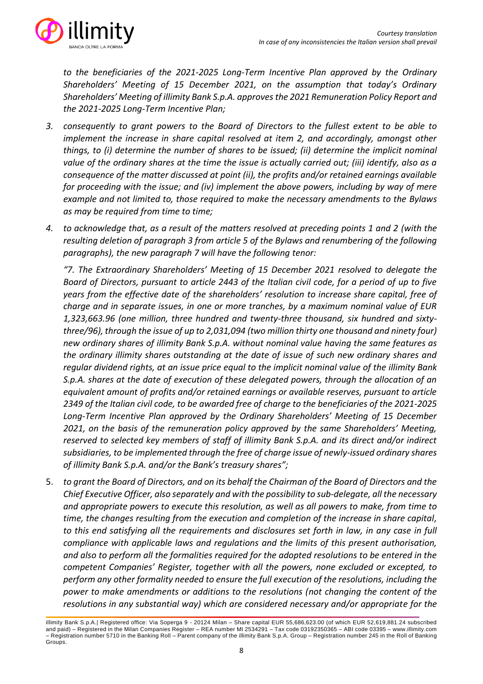

*to the beneficiaries of the 2021-2025 Long-Term Incentive Plan approved by the Ordinary Shareholders' Meeting of 15 December 2021, on the assumption that today's Ordinary Shareholders' Meeting of illimity Bank S.p.A. approvesthe 2021 Remuneration Policy Report and the 2021-2025 Long-Term Incentive Plan;*

- *3. consequently to grant powers to the Board of Directors to the fullest extent to be able to implement the increase in share capital resolved at item 2, and accordingly, amongst other things, to (i) determine the number of shares to be issued; (ii) determine the implicit nominal value of the ordinary shares at the time the issue is actually carried out; (iii) identify, also as a consequence of the matter discussed at point (ii), the profits and/or retained earnings available for proceeding with the issue; and (iv) implement the above powers, including by way of mere example and not limited to, those required to make the necessary amendments to the Bylaws as may be required from time to time;*
- *4. to acknowledge that, as a result of the matters resolved at preceding points 1 and 2 (with the resulting deletion of paragraph 3 from article 5 of the Bylaws and renumbering of the following paragraphs), the new paragraph 7 will have the following tenor:*

*"7. The Extraordinary Shareholders' Meeting of 15 December 2021 resolved to delegate the Board of Directors, pursuant to article 2443 of the Italian civil code, for a period of up to five years from the effective date of the shareholders' resolution to increase share capital, free of charge and in separate issues, in one or more tranches, by a maximum nominal value of EUR 1,323,663.96 (one million, three hundred and twenty-three thousand, six hundred and sixtythree/96), through the issue of up to 2,031,094 (two million thirty one thousand and ninety four) new ordinary shares of illimity Bank S.p.A. without nominal value having the same features as the ordinary illimity shares outstanding at the date of issue of such new ordinary shares and regular dividend rights, at an issue price equal to the implicit nominal value of the illimity Bank S.p.A. shares at the date of execution of these delegated powers, through the allocation of an equivalent amount of profits and/or retained earnings or available reserves, pursuant to article 2349 of the Italian civil code, to be awarded free of charge to the beneficiaries of the 2021-2025 Long-Term Incentive Plan approved by the Ordinary Shareholders' Meeting of 15 December 2021, on the basis of the remuneration policy approved by the same Shareholders' Meeting, reserved to selected key members of staff of illimity Bank S.p.A. and its direct and/or indirect subsidiaries, to be implemented through the free of charge issue of newly-issued ordinary shares of illimity Bank S.p.A. and/or the Bank's treasury shares";*

5. *to grant the Board of Directors, and on its behalf the Chairman of the Board of Directors and the Chief Executive Officer, also separately and with the possibility to sub-delegate, all the necessary and appropriate powers to execute this resolution, as well as all powers to make, from time to time, the changes resulting from the execution and completion of the increase in share capital, to this end satisfying all the requirements and disclosures set forth in law, in any case in full compliance with applicable laws and regulations and the limits of this present authorisation, and also to perform all the formalities required for the adopted resolutions to be entered in the competent Companies' Register, together with all the powers, none excluded or excepted, to perform any other formality needed to ensure the full execution of the resolutions, including the power to make amendments or additions to the resolutions (not changing the content of the resolutions in any substantial way) which are considered necessary and/or appropriate for the* 

illimity Bank S.p.A.| Registered office: Via Soperga 9 - 20124 Milan – Share capital EUR 55,686,623.00 (of which EUR 52,619,881.24 subscribed and paid) – Registered in the Milan Companies Register – REA number MI 2534291 – Tax code 03192350365 – ABI code 03395 – [www.illimity.com](http://www.illimity.com/) – Registration number 5710 in the Banking Roll – Parent company of the illimity Bank S.p.A. Group – Registration number 245 in the Roll of Banking Groups.